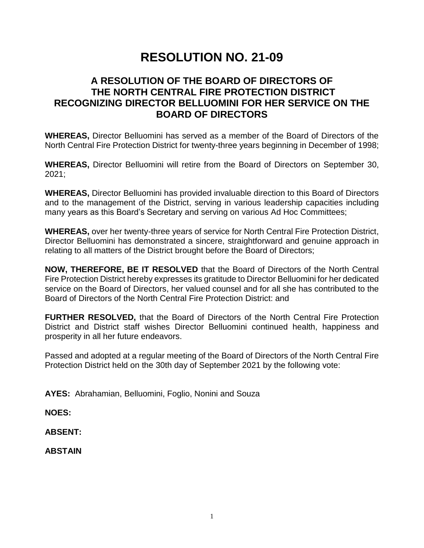# **RESOLUTION NO. 21-09**

## **A RESOLUTION OF THE BOARD OF DIRECTORS OF THE NORTH CENTRAL FIRE PROTECTION DISTRICT RECOGNIZING DIRECTOR BELLUOMINI FOR HER SERVICE ON THE BOARD OF DIRECTORS**

**WHEREAS,** Director Belluomini has served as a member of the Board of Directors of the North Central Fire Protection District for twenty-three years beginning in December of 1998;

**WHEREAS,** Director Belluomini will retire from the Board of Directors on September 30, 2021;

**WHEREAS,** Director Belluomini has provided invaluable direction to this Board of Directors and to the management of the District, serving in various leadership capacities including many years as this Board's Secretary and serving on various Ad Hoc Committees;

**WHEREAS,** over her twenty-three years of service for North Central Fire Protection District, Director Belluomini has demonstrated a sincere, straightforward and genuine approach in relating to all matters of the District brought before the Board of Directors;

**NOW, THEREFORE, BE IT RESOLVED** that the Board of Directors of the North Central Fire Protection District hereby expresses its gratitude to Director Belluomini for her dedicated service on the Board of Directors, her valued counsel and for all she has contributed to the Board of Directors of the North Central Fire Protection District: and

**FURTHER RESOLVED,** that the Board of Directors of the North Central Fire Protection District and District staff wishes Director Belluomini continued health, happiness and prosperity in all her future endeavors.

Passed and adopted at a regular meeting of the Board of Directors of the North Central Fire Protection District held on the 30th day of September 2021 by the following vote:

**AYES:** Abrahamian, Belluomini, Foglio, Nonini and Souza

**NOES:**

**ABSENT:**

**ABSTAIN**